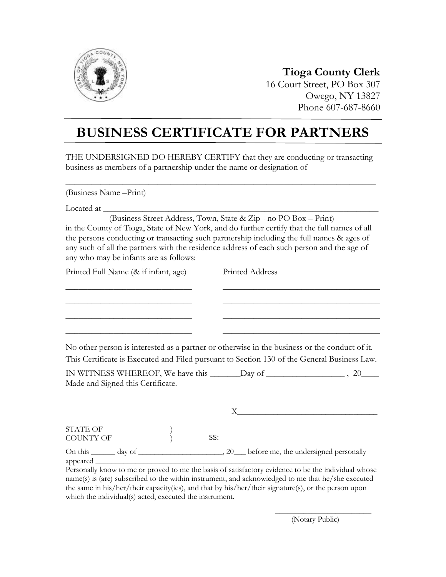

## **Tioga County Clerk** 16 Court Street, PO Box 307

Owego, NY 13827 Phone 607-687-8660

## **BUSINESS CERTIFICATE FOR PARTNERS**

THE UNDERSIGNED DO HEREBY CERTIFY that they are conducting or transacting business as members of a partnership under the name or designation of

 $\_$  , and the set of the set of the set of the set of the set of the set of the set of the set of the set of the set of the set of the set of the set of the set of the set of the set of the set of the set of the set of th

(Business Name –Print)

Located at \_

 (Business Street Address, Town, State & Zip - no PO Box – Print) in the County of Tioga, State of New York, and do further certify that the full names of all the persons conducting or transacting such partnership including the full names & ages of any such of all the partners with the residence address of each such person and the age of any who may be infants are as follows:

| Printed Full Name (& if infant, age) | Printed Address                                                                               |
|--------------------------------------|-----------------------------------------------------------------------------------------------|
|                                      |                                                                                               |
|                                      |                                                                                               |
|                                      |                                                                                               |
|                                      | No other person is interested as a partner or otherwise in the business or the conduct of it. |

No other person is interested as a partner or otherwise in the business or the conduct of it. This Certificate is Executed and Filed pursuant to Section 130 of the General Business Law.

IN WITNESS WHEREOF, We have this \_\_\_\_\_\_\_Day of \_\_\_\_\_\_\_\_\_\_\_\_\_\_\_\_\_\_ , 20\_\_\_\_ Made and Signed this Certificate.

| <b>STATE OF</b><br><b>COUNTY OF</b> |        | SS: |                                             |
|-------------------------------------|--------|-----|---------------------------------------------|
| On this $\_\_$<br>appeared          | day of |     | 20___ before me, the undersigned personally |

Personally know to me or proved to me the basis of satisfactory evidence to be the individual whose name(s) is (are) subscribed to the within instrument, and acknowledged to me that he/she executed the same in his/her/their capacity(ies), and that by his/her/their signature(s), or the person upon which the individual(s) acted, executed the instrument.

(Notary Public)

\_\_\_\_\_\_\_\_\_\_\_\_\_\_\_\_\_\_\_\_\_\_\_\_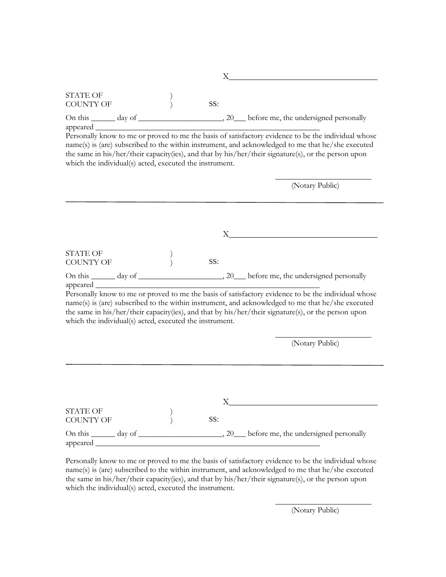|                                                                                 |                  | Х   |                                                                                                                                                                                                                                                                                                                 |
|---------------------------------------------------------------------------------|------------------|-----|-----------------------------------------------------------------------------------------------------------------------------------------------------------------------------------------------------------------------------------------------------------------------------------------------------------------|
| <b>STATE OF</b><br><b>COUNTY OF</b>                                             | $\left( \right)$ | SS: |                                                                                                                                                                                                                                                                                                                 |
|                                                                                 |                  |     |                                                                                                                                                                                                                                                                                                                 |
| appeared ___________<br>which the individual(s) acted, executed the instrument. |                  |     | Personally know to me or proved to me the basis of satisfactory evidence to be the individual whose<br>name(s) is (are) subscribed to the within instrument, and acknowledged to me that he/she executed<br>the same in his/her/their capacity(ies), and that by his/her/their signature(s), or the person upon |
|                                                                                 |                  |     | (Notary Public)                                                                                                                                                                                                                                                                                                 |
|                                                                                 |                  |     |                                                                                                                                                                                                                                                                                                                 |
|                                                                                 |                  | X.  |                                                                                                                                                                                                                                                                                                                 |
| <b>STATE OF</b><br><b>COUNTY OF</b>                                             |                  | SS: |                                                                                                                                                                                                                                                                                                                 |
|                                                                                 |                  |     |                                                                                                                                                                                                                                                                                                                 |
| which the individual(s) acted, executed the instrument.                         |                  |     | Personally know to me or proved to me the basis of satisfactory evidence to be the individual whose<br>name(s) is (are) subscribed to the within instrument, and acknowledged to me that he/she executed<br>the same in his/her/their capacity(ies), and that by his/her/their signature(s), or the person upon |
|                                                                                 |                  |     | (Notary Public)                                                                                                                                                                                                                                                                                                 |
|                                                                                 |                  |     |                                                                                                                                                                                                                                                                                                                 |
|                                                                                 |                  |     |                                                                                                                                                                                                                                                                                                                 |
| <b>STATE OF</b><br><b>COUNTY OF</b>                                             |                  | SS: |                                                                                                                                                                                                                                                                                                                 |
| appeared                                                                        |                  |     |                                                                                                                                                                                                                                                                                                                 |

Personally know to me or proved to me the basis of satisfactory evidence to be the individual whose name(s) is (are) subscribed to the within instrument, and acknowledged to me that he/she executed the same in his/her/their capacity(ies), and that by his/her/their signature(s), or the person upon which the individual(s) acted, executed the instrument.

(Notary Public)

\_\_\_\_\_\_\_\_\_\_\_\_\_\_\_\_\_\_\_\_\_\_\_\_